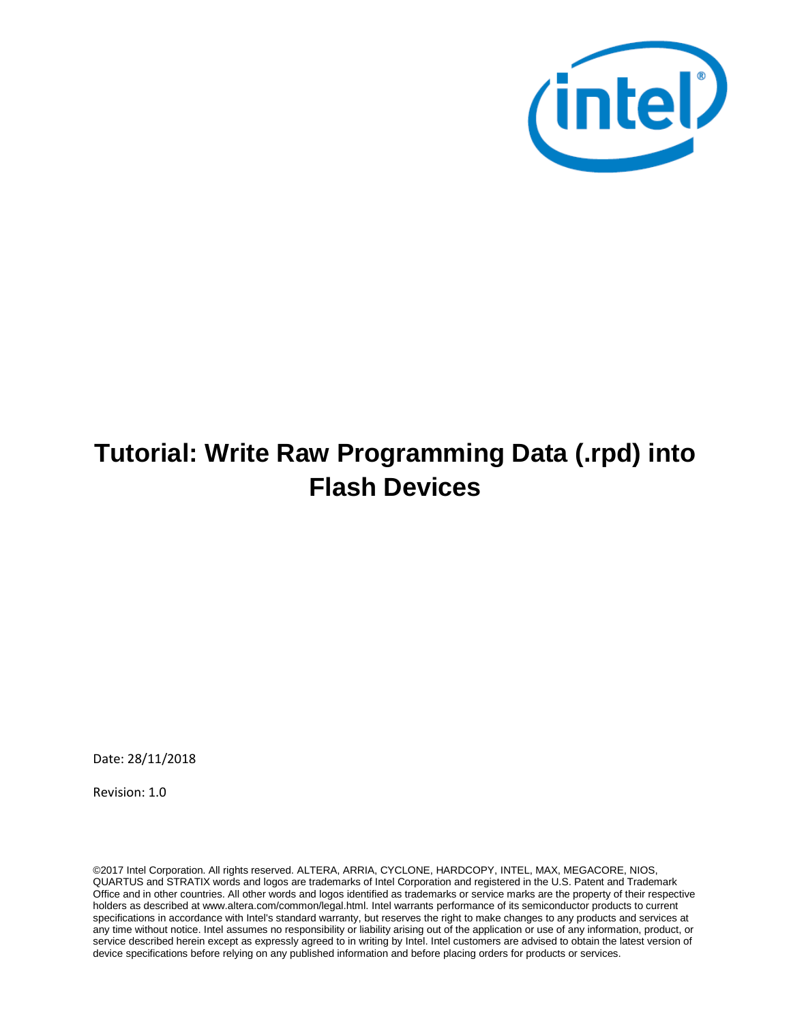

# **Tutorial: Write Raw Programming Data (.rpd) into Flash Devices**

Date: 28/11/2018

Revision: 1.0

©2017 Intel Corporation. All rights reserved. ALTERA, ARRIA, CYCLONE, HARDCOPY, INTEL, MAX, MEGACORE, NIOS, QUARTUS and STRATIX words and logos are trademarks of Intel Corporation and registered in the U.S. Patent and Trademark Office and in other countries. All other words and logos identified as trademarks or service marks are the property of their respective holders as described at www.altera.com/common/legal.html. Intel warrants performance of its semiconductor products to current specifications in accordance with Intel's standard warranty, but reserves the right to make changes to any products and services at any time without notice. Intel assumes no responsibility or liability arising out of the application or use of any information, product, or service described herein except as expressly agreed to in writing by Intel. Intel customers are advised to obtain the latest version of device specifications before relying on any published information and before placing orders for products or services.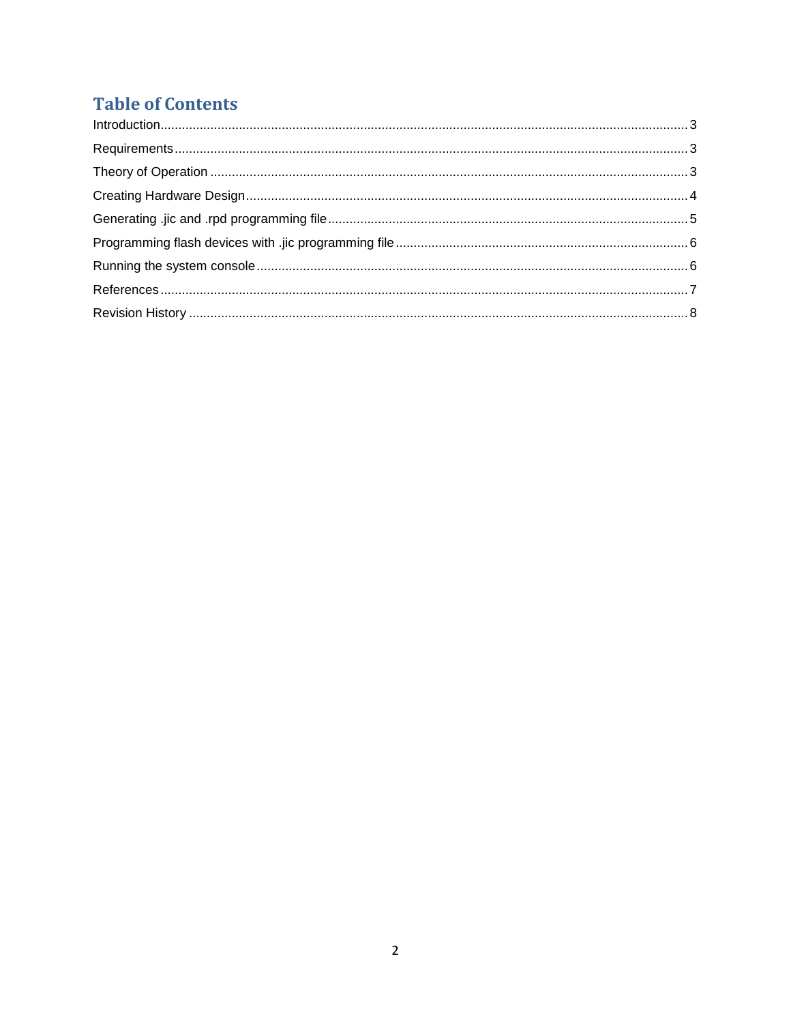### **Table of Contents**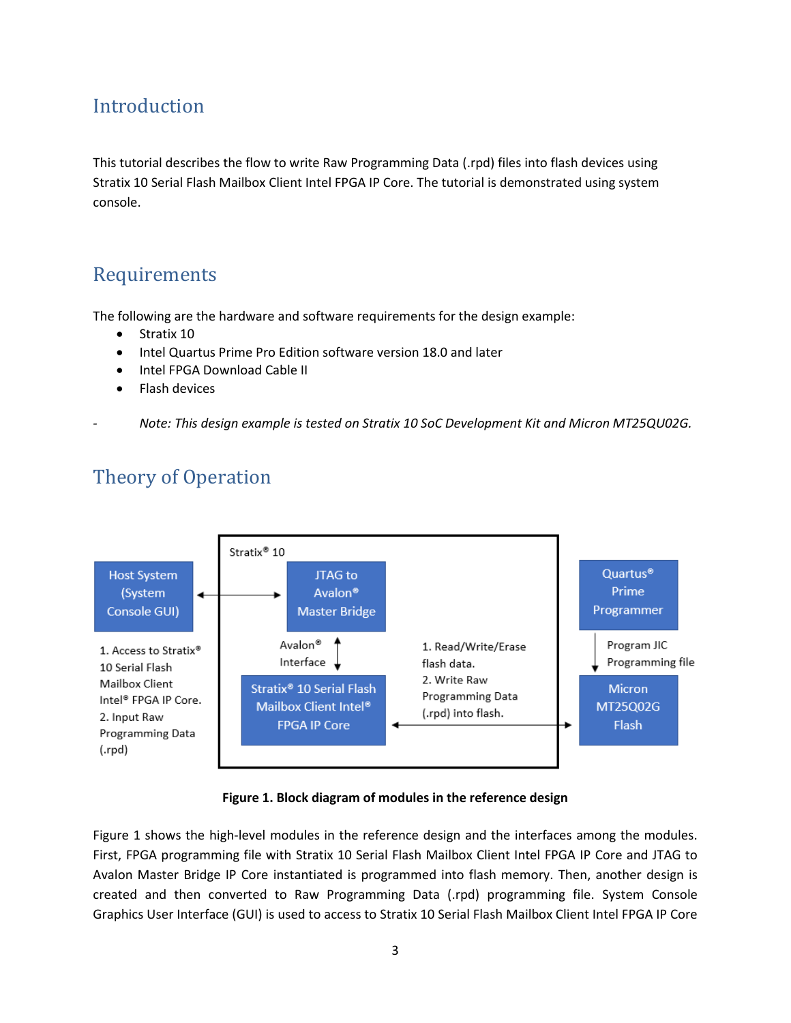#### <span id="page-2-0"></span>Introduction

This tutorial describes the flow to write Raw Programming Data (.rpd) files into flash devices using Stratix 10 Serial Flash Mailbox Client Intel FPGA IP Core. The tutorial is demonstrated using system console.

#### <span id="page-2-1"></span>Requirements

The following are the hardware and software requirements for the design example:

- Stratix 10
- Intel Quartus Prime Pro Edition software version 18.0 and later
- Intel FPGA Download Cable II
- <span id="page-2-2"></span>• Flash devices
- *- Note: This design example is tested on Stratix 10 SoC Development Kit and Micron MT25QU02G.*



### Theory of Operation

#### **Figure 1. Block diagram of modules in the reference design**

Figure 1 shows the high-level modules in the reference design and the interfaces among the modules. First, FPGA programming file with Stratix 10 Serial Flash Mailbox Client Intel FPGA IP Core and JTAG to Avalon Master Bridge IP Core instantiated is programmed into flash memory. Then, another design is created and then converted to Raw Programming Data (.rpd) programming file. System Console Graphics User Interface (GUI) is used to access to Stratix 10 Serial Flash Mailbox Client Intel FPGA IP Core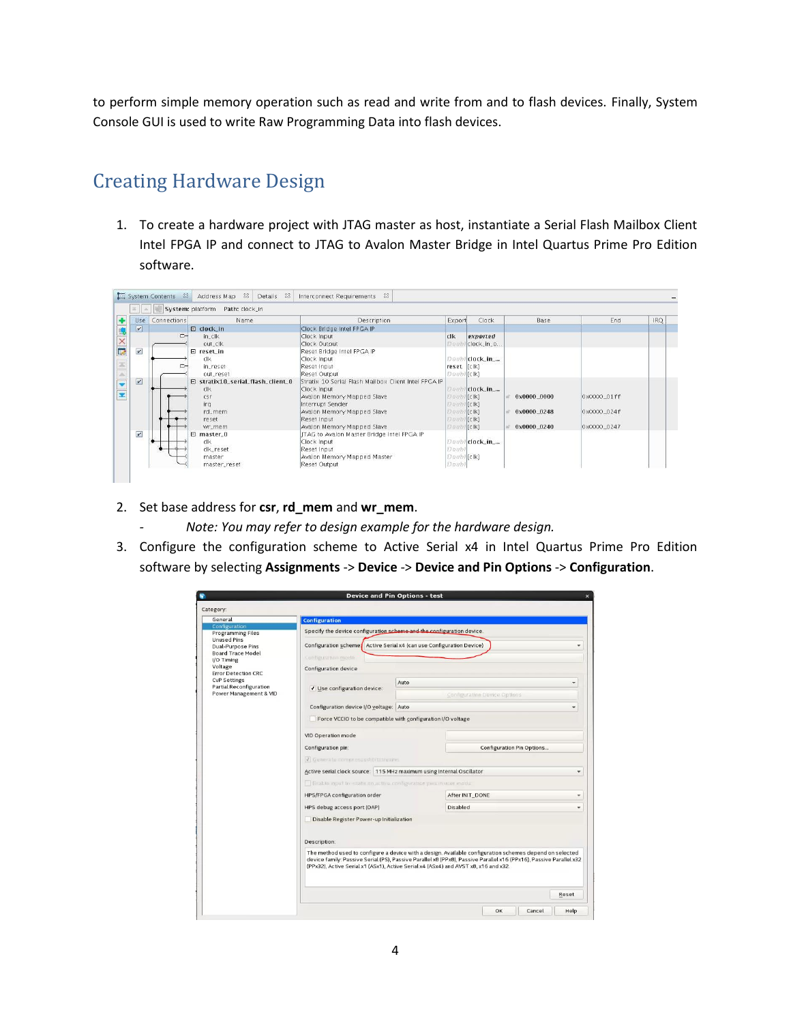to perform simple memory operation such as read and write from and to flash devices. Finally, System Console GUI is used to write Raw Programming Data into flash devices.

#### <span id="page-3-0"></span>Creating Hardware Design

1. To create a hardware project with JTAG master as host, instantiate a Serial Flash Mailbox Client Intel FPGA IP and connect to JTAG to Avalon Master Bridge in Intel Quartus Prime Pro Edition software.

|                         |                | System: platform<br>Path: clock_in          |                                                      |              |                 |             |             |      |
|-------------------------|----------------|---------------------------------------------|------------------------------------------------------|--------------|-----------------|-------------|-------------|------|
| Use                     | Connections    | Name                                        | Description                                          | Export       | Clock           | Base        | End         | IRO. |
| $\overline{\mathbf{v}}$ |                | $\Box$ clock_in                             | Clock Bridge Intel FPGA IP                           |              |                 |             |             |      |
|                         | $\overline{D}$ | $in$ <sub>-Clk</sub>                        | Clock Input                                          | clk          | exported        |             |             |      |
|                         |                | out_clk                                     | Clock Output                                         | Doub         | / clock_in_o    |             |             |      |
| $\boldsymbol{\nu}$      |                | □ reset_in                                  | Reset Bridge Intel FPGA IP                           |              |                 |             |             |      |
|                         |                | clk                                         | Clock Input                                          | Doub         | clock_in_       |             |             |      |
|                         | ⊳              | in_reset                                    | Reset Input                                          | reset [clk]  |                 |             |             |      |
|                         |                | out_reset                                   | Reset Output                                         | Doubl [clk]  |                 |             |             |      |
| $\overline{\mathbf{v}}$ |                | $\boxminus$ stratix10 serial flash client 0 | Stratix 10 Serial Flash Mailbox Client Intel FPGA IP |              |                 |             |             |      |
|                         |                | clk                                         | Clock Input                                          |              | Doubl clock_in_ |             |             |      |
|                         |                | csr                                         | Avalon Memory Mapped Slave                           | Doubl [clk]  |                 | 0x0000 0000 | 0x0000_01ff |      |
|                         |                | irq                                         | Interrupt Sender                                     | Doubl [clk]  |                 |             |             |      |
|                         |                | rd_mem                                      | Avalon Memory Mapped Slave                           | Doubl [clk]  |                 | 0x0000_0248 | Ox0000_024f |      |
|                         |                | reset                                       | Reset Input                                          | Doubl [clk]  |                 |             |             |      |
|                         |                | wr_mem                                      | Avalon Memory Mapped Slave                           | Doubl [clk]  |                 | 0x0000_0240 | 0x0000_0247 |      |
| $\boldsymbol{\nu}$      |                | $\boxminus$ master_0                        | ITAG to Avaion Master Bridge Intel FPGA IP           |              |                 |             |             |      |
|                         |                | clk                                         | Clock Input                                          |              | Doubl clock_in_ |             |             |      |
|                         |                | clk_reset                                   | Reset Input                                          | <b>Doubl</b> |                 |             |             |      |
|                         |                | master                                      | Avalon Memory Mapped Master                          | Doubl [clk]  |                 |             |             |      |
|                         |                | master_reset                                | Reset Output                                         | Doubl        |                 |             |             |      |

- 2. Set base address for **csr**, **rd\_mem** and **wr\_mem**.
	- *- Note: You may refer to design example for the hardware design.*
- 3. Configure the configuration scheme to Active Serial x4 in Intel Quartus Prime Pro Edition software by selecting **Assignments** -> **Device** -> **Device and Pin Options** -> **Configuration**.

| General                                               | <b>Configuration</b>                                                                                     |      |                                                                                                                                                                                                                               |       |  |  |  |  |
|-------------------------------------------------------|----------------------------------------------------------------------------------------------------------|------|-------------------------------------------------------------------------------------------------------------------------------------------------------------------------------------------------------------------------------|-------|--|--|--|--|
| Configuration                                         |                                                                                                          |      |                                                                                                                                                                                                                               |       |  |  |  |  |
| <b>Programming Files</b><br><b>Unused Pins</b>        | Specify the device configuration scheme and the configuration device.                                    |      |                                                                                                                                                                                                                               |       |  |  |  |  |
| <b>Dual-Purpose Pins</b><br><b>Board Trace Model</b>  | Configuration scheme <sup>1</sup> Active Serial x4 (can use Configuration Device)<br>Configuration model |      |                                                                                                                                                                                                                               |       |  |  |  |  |
| I/O Timing<br>Voltage                                 |                                                                                                          |      |                                                                                                                                                                                                                               |       |  |  |  |  |
| <b>Error Detection CRC</b>                            | Configuration device                                                                                     |      |                                                                                                                                                                                                                               |       |  |  |  |  |
| <b>CvP Settings</b><br><b>Partial Reconfiguration</b> | √ Use configuration device:                                                                              | Auto |                                                                                                                                                                                                                               |       |  |  |  |  |
| Power Management & VID                                |                                                                                                          |      | Configuration Device Options                                                                                                                                                                                                  |       |  |  |  |  |
|                                                       | Configuration device I/O voltage: Auto                                                                   |      |                                                                                                                                                                                                                               | v     |  |  |  |  |
|                                                       | Force VCCIO to be compatible with configuration I/O voltage                                              |      |                                                                                                                                                                                                                               |       |  |  |  |  |
|                                                       | VID Operation mode                                                                                       |      |                                                                                                                                                                                                                               |       |  |  |  |  |
|                                                       | Configuration pin:                                                                                       |      | Configuration Pin Options                                                                                                                                                                                                     |       |  |  |  |  |
|                                                       | V Generale compressed citativenes                                                                        |      |                                                                                                                                                                                                                               |       |  |  |  |  |
|                                                       | Active serial clock source: 115 MHz maximum using Internal Oscillator                                    |      |                                                                                                                                                                                                                               | ٠     |  |  |  |  |
|                                                       | <b>The Enable input treastate on active configuration pins in user mode</b>                              |      |                                                                                                                                                                                                                               |       |  |  |  |  |
|                                                       | HPS/FPGA configuration order                                                                             |      | After INIT_DONE                                                                                                                                                                                                               | ۰     |  |  |  |  |
|                                                       | HPS debug access port (DAP)                                                                              |      | Disabled                                                                                                                                                                                                                      | ÷     |  |  |  |  |
|                                                       | Disable Register Power-up Initialization                                                                 |      |                                                                                                                                                                                                                               |       |  |  |  |  |
|                                                       | Description:                                                                                             |      |                                                                                                                                                                                                                               |       |  |  |  |  |
|                                                       | (PPx32), Active Serial x1 (ASx1), Active Serial x4 (ASx4) and AVST x8, x16 and x32.                      |      | The method used to configure a device with a design. Available configuration schemes depend on selected<br>device family: Passive Serial (PS), Passive Parallel x8 (PPx8), Passive Parallel x16 (PPx16), Passive Parallel x32 |       |  |  |  |  |
|                                                       |                                                                                                          |      |                                                                                                                                                                                                                               | Reset |  |  |  |  |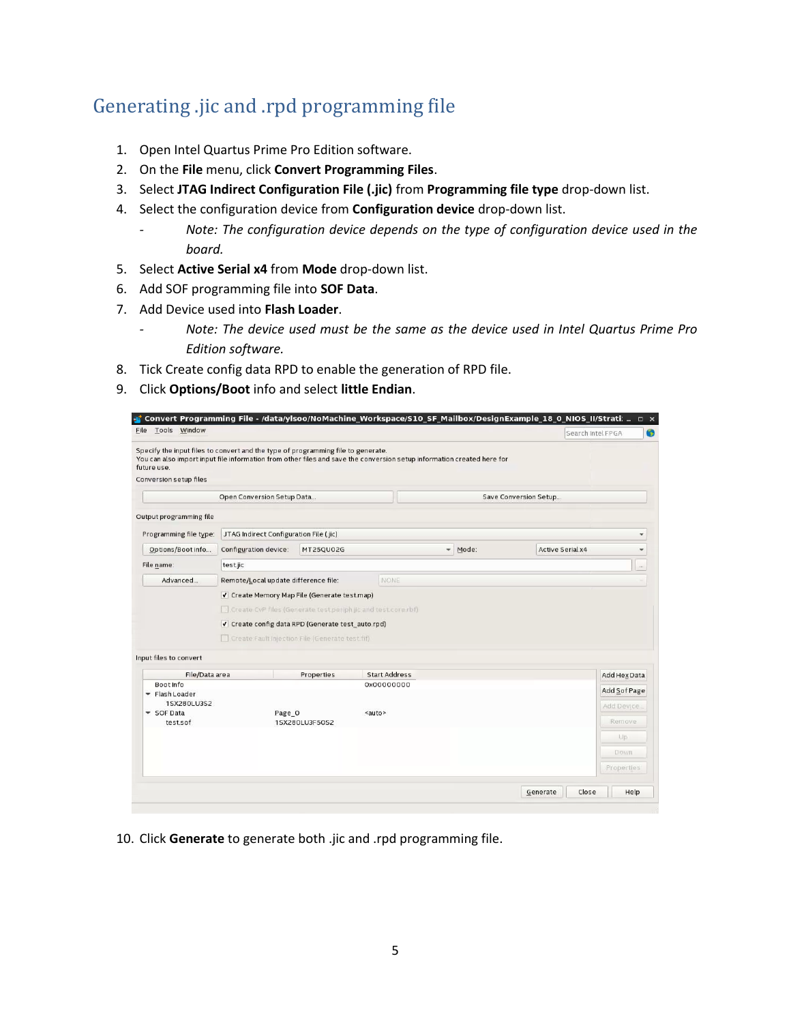### <span id="page-4-0"></span>Generating .jic and .rpd programming file

- 1. Open Intel Quartus Prime Pro Edition software.
- 2. On the **File** menu, click **Convert Programming Files**.
- 3. Select **JTAG Indirect Configuration File (.jic)** from **Programming file type** drop-down list.
- 4. Select the configuration device from **Configuration device** drop-down list.
	- *- Note: The configuration device depends on the type of configuration device used in the board.*
- 5. Select **Active Serial x4** from **Mode** drop-down list.
- 6. Add SOF programming file into **SOF Data**.
- 7. Add Device used into **Flash Loader**.
	- *- Note: The device used must be the same as the device used in Intel Quartus Prime Pro Edition software.*
- 8. Tick Create config data RPD to enable the generation of RPD file.
- 9. Click **Options/Boot** info and select **little Endian**.

| Tools Window<br>File                  |                                                                                                                                                       |            |                                                                                                                        |                       |       |                         | Search Intel FPGA |
|---------------------------------------|-------------------------------------------------------------------------------------------------------------------------------------------------------|------------|------------------------------------------------------------------------------------------------------------------------|-----------------------|-------|-------------------------|-------------------|
| future use.<br>Conversion setup files | Specify the input files to convert and the type of programming file to generate.                                                                      |            | You can also import input file information from other files and save the conversion setup information created here for |                       |       |                         |                   |
|                                       | Open Conversion Setup Data                                                                                                                            |            |                                                                                                                        |                       |       | Save Conversion Setup   |                   |
| Output programming file               |                                                                                                                                                       |            |                                                                                                                        |                       |       |                         |                   |
| Programming file type:                | JTAG Indirect Configuration File (.jic)                                                                                                               |            |                                                                                                                        |                       |       |                         | ۰                 |
| Options/Boot info                     | Configuration device:                                                                                                                                 | MT250U02G  |                                                                                                                        | $\check{\phantom{a}}$ | Mode: | <b>Active Serial x4</b> | ۰                 |
| File name:                            | test.jic                                                                                                                                              |            |                                                                                                                        |                       |       |                         | $\cdots$          |
| Advanced                              | Remote/Local update difference file:<br>√ Create Memory Map File (Generate test.map)<br>Create CvP files (Generate test periph jic and test core rbf) |            | NONE                                                                                                                   |                       |       |                         |                   |
| Input files to convert                | √ Create config data RPD (Generate test_auto.rpd)<br>Create Fault Injection File (Generate test fif)                                                  |            |                                                                                                                        |                       |       |                         |                   |
| File/Data area<br>Boot Info           |                                                                                                                                                       | Properties | <b>Start Address</b><br>0x00000000                                                                                     |                       |       |                         | Add Hex Data      |

10. Click **Generate** to generate both .jic and .rpd programming file.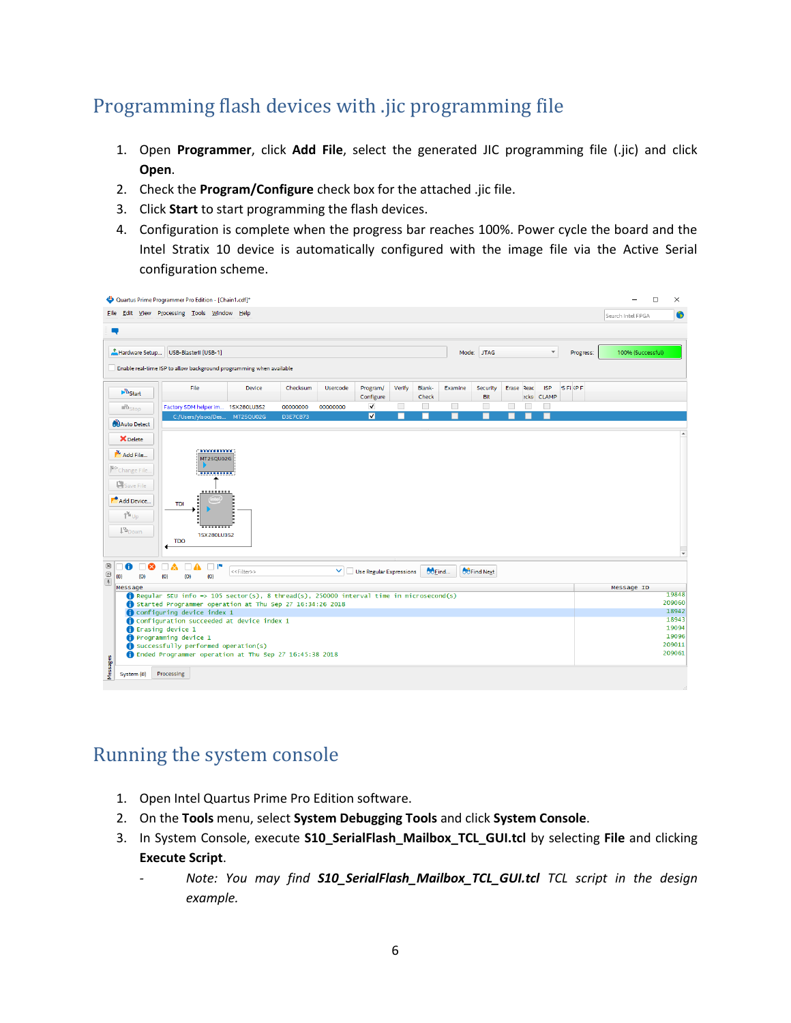### <span id="page-5-0"></span>Programming flash devices with .jic programming file

- 1. Open **Programmer**, click **Add File**, select the generated JIC programming file (.jic) and click **Open**.
- 2. Check the **Program/Configure** check box for the attached .jic file.
- 3. Click **Start** to start programming the flash devices.
- <span id="page-5-1"></span>4. Configuration is complete when the progress bar reaches 100%. Power cycle the board and the Intel Stratix 10 device is automatically configured with the image file via the Active Serial configuration scheme.

| Quartus Prime Programmer Pro Edition - [Chain1.cdf]*                                                    |                                                                                                           |                         |                 |          |                                |        |                 |         |                    | □                        | $\times$   |               |  |  |                 |
|---------------------------------------------------------------------------------------------------------|-----------------------------------------------------------------------------------------------------------|-------------------------|-----------------|----------|--------------------------------|--------|-----------------|---------|--------------------|--------------------------|------------|---------------|--|--|-----------------|
|                                                                                                         | File Edit View Processing Tools Window Help                                                               |                         |                 |          |                                |        |                 |         | Search Intel FPGA  |                          | 6          |               |  |  |                 |
| ą                                                                                                       |                                                                                                           |                         |                 |          |                                |        |                 |         |                    |                          |            |               |  |  |                 |
| Hardware Setup<br>Mode: JTAG<br>$\checkmark$<br>100% (Successful)<br>USB-BlasterII [USB-1]<br>Progress: |                                                                                                           |                         |                 |          |                                |        |                 |         |                    |                          |            |               |  |  |                 |
|                                                                                                         | Enable real-time ISP to allow background programming when available                                       |                         |                 |          |                                |        |                 |         |                    |                          |            |               |  |  |                 |
| $\mathbf{P}^{\Psi_{\text{Start}}}$                                                                      | File                                                                                                      | Device                  | Checksum        | Usercode | Program/<br>Configure          | Verify | Blank-<br>Check | Examine | Security<br>Bit    | Erase Read<br>ecks CLAMP | <b>ISP</b> | <b>SFILPF</b> |  |  |                 |
| <b>Mu<sub>Stop</sub></b>                                                                                | Factory SDM helper im 1SX280LU3S2                                                                         |                         | 00000000        | 00000000 | $\blacktriangledown$           |        |                 |         |                    |                          |            |               |  |  |                 |
| <b>B</b> Auto Detect                                                                                    | C:/Users/ylsoo/Des                                                                                        | MT25QU02G               | <b>D3E7CB73</b> |          | $\overline{\mathbf{v}}$        | □      | П               |         | ▀                  |                          |            |               |  |  |                 |
|                                                                                                         |                                                                                                           |                         |                 |          |                                |        |                 |         |                    |                          |            |               |  |  |                 |
| X Delete                                                                                                |                                                                                                           |                         |                 |          |                                |        |                 |         |                    |                          |            |               |  |  |                 |
| Add File                                                                                                | annonna:<br>MT25QU02G                                                                                     |                         |                 |          |                                |        |                 |         |                    |                          |            |               |  |  |                 |
| M <sup>o</sup> Change File                                                                              | <u>'nuunna</u>                                                                                            |                         |                 |          |                                |        |                 |         |                    |                          |            |               |  |  |                 |
| Save File                                                                                               |                                                                                                           |                         |                 |          |                                |        |                 |         |                    |                          |            |               |  |  |                 |
|                                                                                                         |                                                                                                           |                         |                 |          |                                |        |                 |         |                    |                          |            |               |  |  |                 |
| Add Device                                                                                              | <b>TDI</b>                                                                                                |                         |                 |          |                                |        |                 |         |                    |                          |            |               |  |  |                 |
| $\mathbb{T}^{\mathbb{Z}}$ Up                                                                            |                                                                                                           |                         |                 |          |                                |        |                 |         |                    |                          |            |               |  |  |                 |
| <b>L<sup>W</sup>Down</b>                                                                                | 1SX280LU3S2                                                                                               |                         |                 |          |                                |        |                 |         |                    |                          |            |               |  |  |                 |
|                                                                                                         | <b>TDO</b>                                                                                                |                         |                 |          |                                |        |                 |         |                    |                          |            |               |  |  |                 |
|                                                                                                         |                                                                                                           |                         |                 |          |                                |        |                 |         |                    |                          |            |               |  |  |                 |
| $\boxtimes$<br>$\bullet$<br>$\Box$<br>(0)                                                               | $\Box$ P<br>$\Box$ A<br>□▲                                                                                | < <filter>&gt;</filter> |                 |          | $\vee$ Use Regular Expressions |        | <b>OOEind</b>   |         | <b>OUFind Next</b> |                          |            |               |  |  |                 |
| $\begin{array}{c}\n\boxed{0} \\ \boxed{+}\n\end{array}$<br>Message                                      | (0)<br>(0)<br>(0)<br>(8)<br>Message ID                                                                    |                         |                 |          |                                |        |                 |         |                    |                          |            |               |  |  |                 |
|                                                                                                         | <b>f</b> Regular SEU info => $105$ sector(s), 8 thread(s), 250000 interval time in microsecond(s)         |                         |                 |          |                                |        |                 |         | 19848              |                          |            |               |  |  |                 |
|                                                                                                         | 209060<br>Started Programmer operation at Thu Sep 27 16:34:26 2018<br>18942<br>Configuring device index 1 |                         |                 |          |                                |        |                 |         |                    |                          |            |               |  |  |                 |
|                                                                                                         | Configuration succeeded at device index 1                                                                 |                         |                 |          |                                |        |                 |         |                    |                          |            |               |  |  | 18943           |
|                                                                                                         | <b>f</b> Erasing device 1                                                                                 |                         |                 |          |                                |        |                 |         |                    |                          |            |               |  |  | 19094           |
|                                                                                                         | Programming device 1<br>Successfully performed operation(s)                                               |                         |                 |          |                                |        |                 |         |                    |                          |            |               |  |  | 19096<br>209011 |
|                                                                                                         | Ended Programmer operation at Thu Sep 27 16:45:38 2018                                                    |                         |                 |          |                                |        |                 |         |                    |                          |            |               |  |  | 209061          |
| Messages<br>System (8)                                                                                  | Processing                                                                                                |                         |                 |          |                                |        |                 |         |                    |                          |            |               |  |  |                 |

#### Running the system console

- 1. Open Intel Quartus Prime Pro Edition software.
- 2. On the **Tools** menu, select **System Debugging Tools** and click **System Console**.
- 3. In System Console, execute **S10\_SerialFlash\_Mailbox\_TCL\_GUI.tcl** by selecting **File** and clicking **Execute Script**.
	- *- Note: You may find S10\_SerialFlash\_Mailbox\_TCL\_GUI.tcl TCL script in the design example.*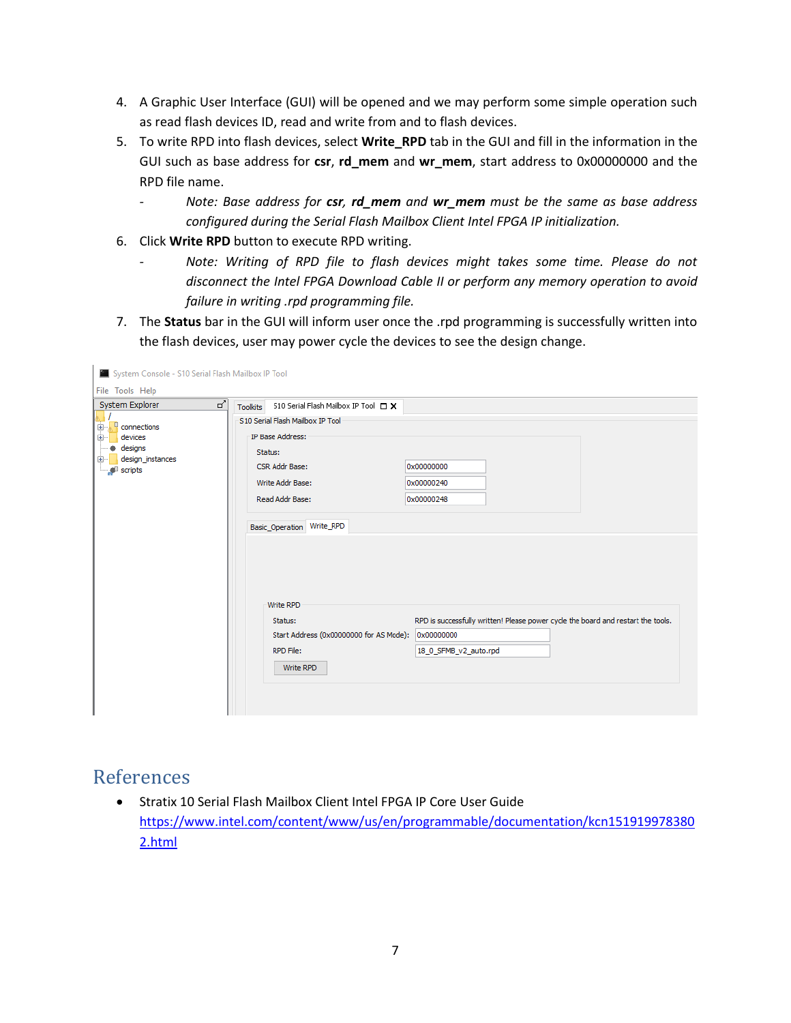- 4. A Graphic User Interface (GUI) will be opened and we may perform some simple operation such as read flash devices ID, read and write from and to flash devices.
- 5. To write RPD into flash devices, select **Write\_RPD** tab in the GUI and fill in the information in the GUI such as base address for **csr**, **rd\_mem** and **wr\_mem**, start address to 0x00000000 and the RPD file name.
	- *- Note: Base address for csr, rd\_mem and wr\_mem must be the same as base address configured during the Serial Flash Mailbox Client Intel FPGA IP initialization.*
- 6. Click **Write RPD** button to execute RPD writing.
	- *- Note: Writing of RPD file to flash devices might takes some time. Please do not disconnect the Intel FPGA Download Cable II or perform any memory operation to avoid failure in writing .rpd programming file.*
- 7. The **Status** bar in the GUI will inform user once the .rpd programming is successfully written into the flash devices, user may power cycle the devices to see the design change.

| System Console - S10 Serial Flash Mailbox IP Tool                                              |                                                                                                                                                                                                                                                           |                                                                                                                                                                   |
|------------------------------------------------------------------------------------------------|-----------------------------------------------------------------------------------------------------------------------------------------------------------------------------------------------------------------------------------------------------------|-------------------------------------------------------------------------------------------------------------------------------------------------------------------|
| File Tools Help                                                                                |                                                                                                                                                                                                                                                           |                                                                                                                                                                   |
| ♂<br>System Explorer                                                                           | S10 Serial Flash Mailbox IP Tool $\Box$ X<br><b>Toolkits</b>                                                                                                                                                                                              |                                                                                                                                                                   |
| $\frac{E}{2}$ connections<br>Ė.<br>devices<br>国<br>designs<br>design_instances<br>国<br>scripts | S10 Serial Flash Mailbox IP Tool<br>IP Base Address:<br>Status:<br>CSR Addr Base:<br>Write Addr Base:<br>Read Addr Base:<br>Basic_Operation Write_RPD<br>Write RPD<br>Status:<br>Start Address (0x00000000 for AS Mode):<br><b>RPD File:</b><br>Write RPD | 0x00000000<br>0x00000240<br>0x00000248<br>RPD is successfully written! Please power cycle the board and restart the tools.<br>0x00000000<br>18_0_SFMB_v2_auto.rpd |

#### <span id="page-6-0"></span>References

• Stratix 10 Serial Flash Mailbox Client Intel FPGA IP Core User Guide [https://www.intel.com/content/www/us/en/programmable/documentation/kcn151919978380](https://www.intel.com/content/www/us/en/programmable/documentation/kcn1519199783802.html) [2.html](https://www.intel.com/content/www/us/en/programmable/documentation/kcn1519199783802.html)